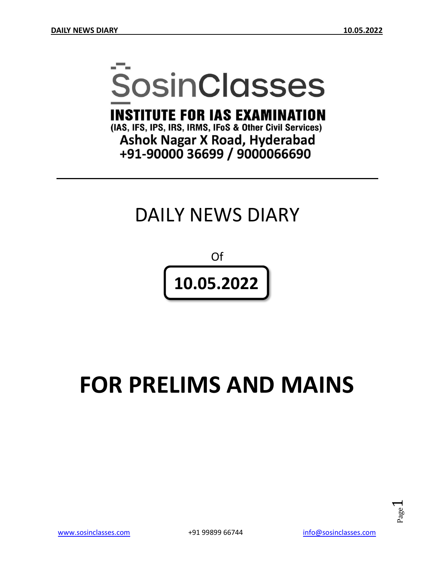# **SosinClasses**

**INSTITUTE FOR IAS EXAMINATION** 

(IAS, IFS, IPS, IRS, IRMS, IFoS & Other Civil Services) **Ashok Nagar X Road, Hyderabad** +91-90000 36699 / 9000066690

# DAILY NEWS DIARY

Of **10.05.2022**

# **FOR PRELIMS AND MAINS**

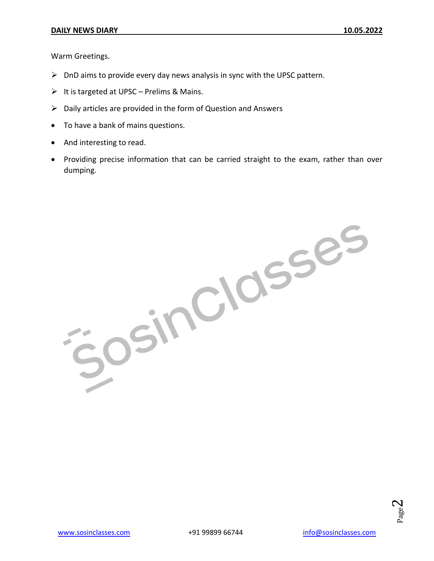Warm Greetings.

- $\triangleright$  DnD aims to provide every day news analysis in sync with the UPSC pattern.
- $\triangleright$  It is targeted at UPSC Prelims & Mains.
- $\triangleright$  Daily articles are provided in the form of Question and Answers
- To have a bank of mains questions.
- And interesting to read.
- Providing precise information that can be carried straight to the exam, rather than over dumping.

JOSINCIOSSES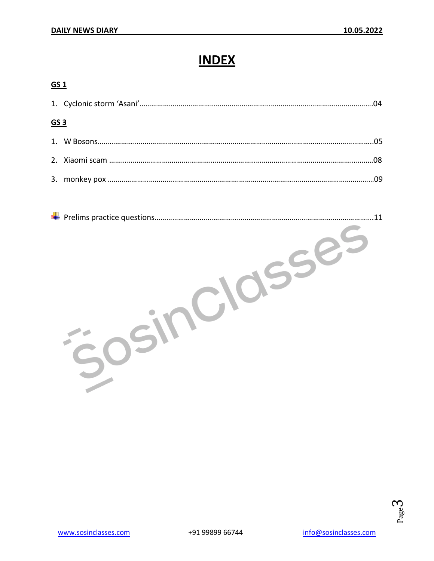**GS 1**

# **INDEX**

| ב כט            |  |  |
|-----------------|--|--|
|                 |  |  |
| GS <sub>3</sub> |  |  |
|                 |  |  |
|                 |  |  |
|                 |  |  |

| 11 |
|----|
|    |

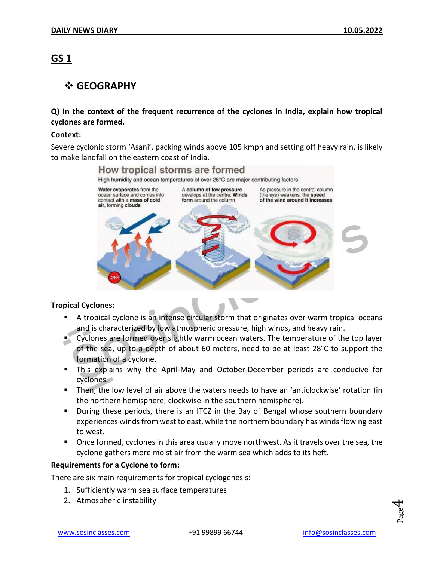## **GS 1**

#### **GEOGRAPHY**

#### **Q) In the context of the frequent recurrence of the cyclones in India, explain how tropical cyclones are formed.**

#### **Context:**

Severe cyclonic storm 'Asani', packing winds above 105 kmph and setting off heavy rain, is likely to make landfall on the eastern coast of India.



#### **Tropical Cyclones:**

- A tropical cyclone is an intense circular storm that originates over warm tropical oceans and is characterized by low atmospheric pressure, high winds, and heavy rain.
- **Cyclones are formed over slightly warm ocean waters. The temperature of the top layer** of the sea, up to a depth of about 60 meters, need to be at least 28°C to support the formation of a cyclone.
- This explains why the April-May and October-December periods are conducive for cyclones.
- Then, the low level of air above the waters needs to have an 'anticlockwise' rotation (in the northern hemisphere; clockwise in the southern hemisphere).
- During these periods, there is an ITCZ in the Bay of Bengal whose southern boundary experiences winds from west to east, while the northern boundary has winds flowing east to west.
- Once formed, cyclones in this area usually move northwest. As it travels over the sea, the cyclone gathers more moist air from the warm sea which adds to its heft.

#### **Requirements for a Cyclone to form:**

There are six main requirements for tropical cyclogenesis:

- 1. Sufficiently warm sea surface temperatures
- 2. Atmospheric instability

Page 4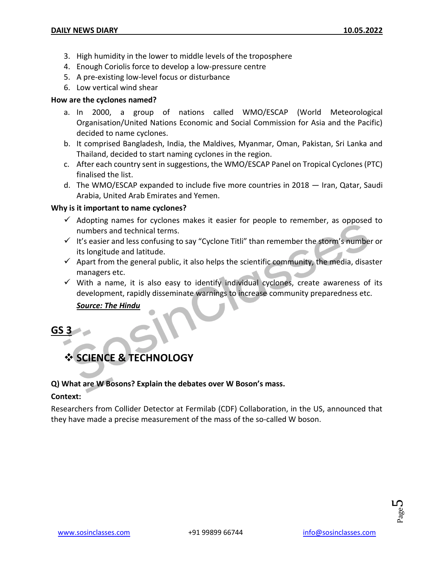- 3. High humidity in the lower to middle levels of the troposphere
- 4. Enough Coriolis force to develop a low-pressure centre
- 5. A pre-existing low-level focus or disturbance
- 6. Low vertical wind shear

#### **How are the cyclones named?**

- a. In 2000, a group of nations called WMO/ESCAP (World Meteorological Organisation/United Nations Economic and Social Commission for Asia and the Pacific) decided to name cyclones.
- b. It comprised Bangladesh, India, the Maldives, Myanmar, Oman, Pakistan, Sri Lanka and Thailand, decided to start naming cyclones in the region.
- c. After each country sent in suggestions, the WMO/ESCAP Panel on Tropical Cyclones (PTC) finalised the list.
- d. The WMO/ESCAP expanded to include five more countries in 2018 Iran, Qatar, Saudi Arabia, United Arab Emirates and Yemen.

#### **Why is it important to name cyclones?**

- $\checkmark$  Adopting names for cyclones makes it easier for people to remember, as opposed to numbers and technical terms.
- $\checkmark$  It's easier and less confusing to say "Cyclone Titli" than remember the storm's number or its longitude and latitude.
- $\checkmark$  Apart from the general public, it also helps the scientific community, the media, disaster managers etc.
- $\checkmark$  With a name, it is also easy to identify individual cyclones, create awareness of its development, rapidly disseminate warnings to increase community preparedness etc.

#### *Source: The Hindu*

**GS 3**

# **SCIENCE & TECHNOLOGY**

#### **Q) What are W Bosons? Explain the debates over W Boson's mass.**

#### **Context:**

Researchers from Collider Detector at Fermilab (CDF) Collaboration, in the US, announced that they have made a precise measurement of the mass of the so-called W boson.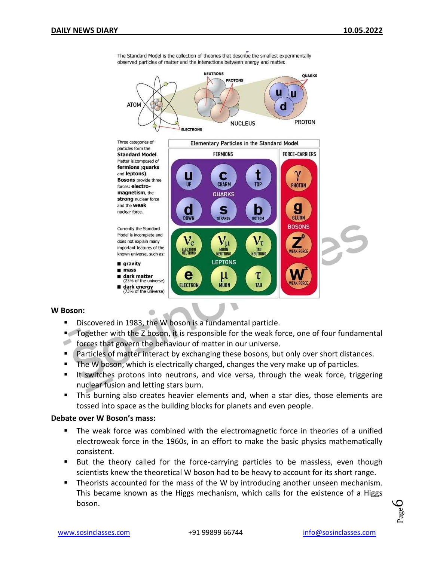



#### **W Boson:**

- Discovered in 1983, the W boson is a fundamental particle.
- Together with the Z boson, it is responsible for the weak force, one of four fundamental
- forces that govern the behaviour of matter in our universe.
- **Particles of matter interact by exchanging these bosons, but only over short distances.**
- The W boson, which is electrically charged, changes the very make up of particles.
- **It switches protons into neutrons, and vice versa, through the weak force, triggering** nuclear fusion and letting stars burn.
- This burning also creates heavier elements and, when a star dies, those elements are tossed into space as the building blocks for planets and even people.

#### **Debate over W Boson's mass:**

- The weak force was combined with the electromagnetic force in theories of a unified electroweak force in the 1960s, in an effort to make the basic physics mathematically consistent.
- But the theory called for the force-carrying particles to be massless, even though scientists knew the theoretical W boson had to be heavy to account for its short range.
- **Theorists accounted for the mass of the W by introducing another unseen mechanism.** This became known as the Higgs mechanism, which calls for the existence of a Higgs boson.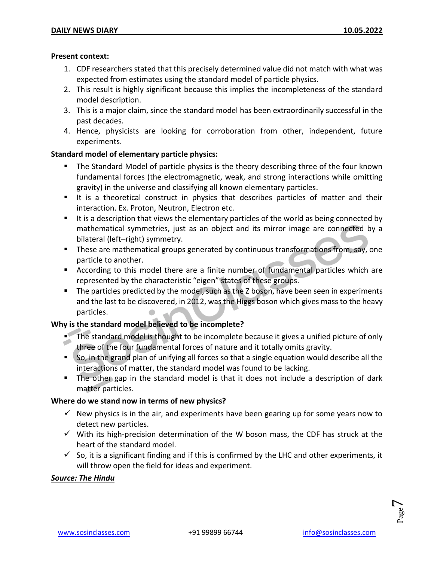#### **Present context:**

- 1. CDF researchers stated that this precisely determined value did not match with what was expected from estimates using the standard model of particle physics.
- 2. This result is highly significant because this implies the incompleteness of the standard model description.
- 3. This is a major claim, since the standard model has been extraordinarily successful in the past decades.
- 4. Hence, physicists are looking for corroboration from other, independent, future experiments.

#### **Standard model of elementary particle physics:**

- **The Standard Model of particle physics is the theory describing three of the four known** fundamental forces (the electromagnetic, weak, and strong interactions while omitting gravity) in the universe and classifying all known elementary particles.
- It is a theoretical construct in physics that describes particles of matter and their interaction. Ex. Proton, Neutron, Electron etc.
- It is a description that views the elementary particles of the world as being connected by mathematical symmetries, just as an object and its mirror image are connected by a bilateral (left–right) symmetry.
- **These are mathematical groups generated by continuous transformations from, say, one** particle to another.
- According to this model there are a finite number of fundamental particles which are represented by the characteristic "eigen" states of these groups.
- **The particles predicted by the model, such as the Z boson, have been seen in experiments** and the last to be discovered, in 2012, was the Higgs boson which gives mass to the heavy particles.

#### **Why is the standard model believed to be incomplete?**

- The standard model is thought to be incomplete because it gives a unified picture of only three of the four fundamental forces of nature and it totally omits gravity.
- **So, in the grand plan of unifying all forces so that a single equation would describe all the** interactions of matter, the standard model was found to be lacking.
- The other gap in the standard model is that it does not include a description of dark matter particles.

#### **Where do we stand now in terms of new physics?**

- $\checkmark$  New physics is in the air, and experiments have been gearing up for some years now to detect new particles.
- $\checkmark$  With its high-precision determination of the W boson mass, the CDF has struck at the heart of the standard model.
- $\checkmark$  So, it is a significant finding and if this is confirmed by the LHC and other experiments, it will throw open the field for ideas and experiment.

#### *Source: The Hindu*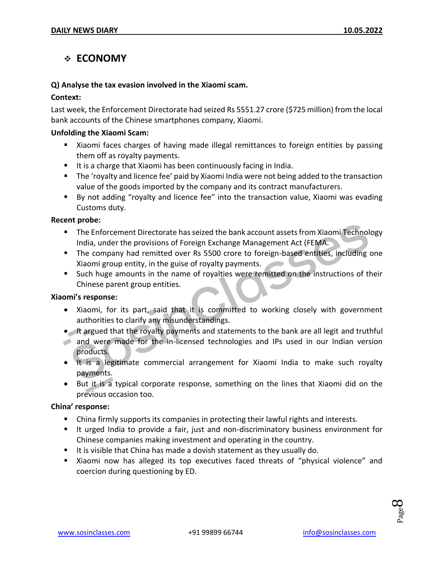### **ECONOMY**

#### **Q) Analyse the tax evasion involved in the Xiaomi scam.**

#### **Context:**

Last week, the Enforcement Directorate had seized Rs 5551.27 crore (\$725 million) from the local bank accounts of the Chinese smartphones company, Xiaomi.

#### **Unfolding the Xiaomi Scam:**

- Xiaomi faces charges of having made illegal remittances to foreign entities by passing them off as royalty payments.
- It is a charge that Xiaomi has been continuously facing in India.
- The 'royalty and licence fee' paid by Xiaomi India were not being added to the transaction value of the goods imported by the company and its contract manufacturers.
- By not adding "royalty and licence fee" into the transaction value, Xiaomi was evading Customs duty.

#### **Recent probe:**

- The Enforcement Directorate has seized the bank account assets from Xiaomi Technology India, under the provisions of Foreign Exchange Management Act (FEMA.
- The company had remitted over Rs 5500 crore to foreign-based entities, including one Xiaomi group entity, in the guise of royalty payments.
- Such huge amounts in the name of royalties were remitted on the instructions of their Chinese parent group entities.

#### **Xiaomi's response:**

- Xiaomi, for its part, said that it is committed to working closely with government authorities to clarify any misunderstandings.
- It argued that the royalty payments and statements to the bank are all legit and truthful
- and were made for the in-licensed technologies and IPs used in our Indian version products.
- It is a legitimate commercial arrangement for Xiaomi India to make such royalty payments.
- But it is a typical corporate response, something on the lines that Xiaomi did on the previous occasion too.

#### **China' response:**

- China firmly supports its companies in protecting their lawful rights and interests.
- It urged India to provide a fair, just and non-discriminatory business environment for Chinese companies making investment and operating in the country.
- $\blacksquare$  It is visible that China has made a dovish statement as they usually do.
- Xiaomi now has alleged its top executives faced threats of "physical violence" and coercion during questioning by ED.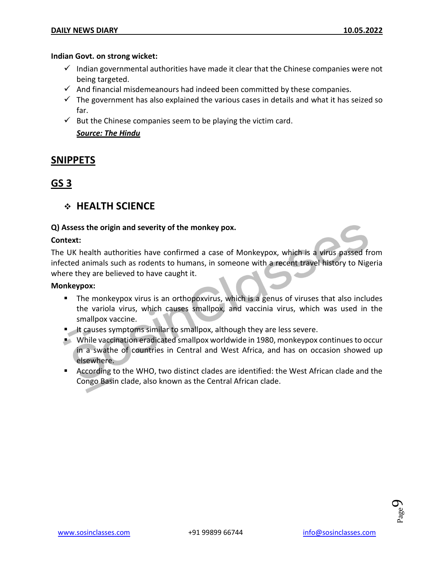#### **Indian Govt. on strong wicket:**

- $\checkmark$  Indian governmental authorities have made it clear that the Chinese companies were not being targeted.
- $\checkmark$  And financial misdemeanours had indeed been committed by these companies.
- $\checkmark$  The government has also explained the various cases in details and what it has seized so far.
- $\checkmark$  But the Chinese companies seem to be playing the victim card.

#### *Source: The Hindu*

#### **SNIPPETS**

#### **GS 3**

#### **HEALTH SCIENCE**

#### **Q) Assess the origin and severity of the monkey pox.**

#### **Context:**

The UK health authorities have confirmed a case of Monkeypox, which is a virus passed from infected animals such as rodents to humans, in someone with a recent travel history to Nigeria where they are believed to have caught it.

#### **Monkeypox:**

- **The monkeypox virus is an orthopoxvirus, which is a genus of viruses that also includes** the variola virus, which causes smallpox, and vaccinia virus, which was used in the smallpox vaccine.
- It causes symptoms similar to smallpox, although they are less severe.
- While vaccination eradicated smallpox worldwide in 1980, monkeypox continues to occur in a swathe of countries in Central and West Africa, and has on occasion showed up elsewhere.
- According to the WHO, two distinct clades are identified: the West African clade and the Congo Basin clade, also known as the Central African clade.

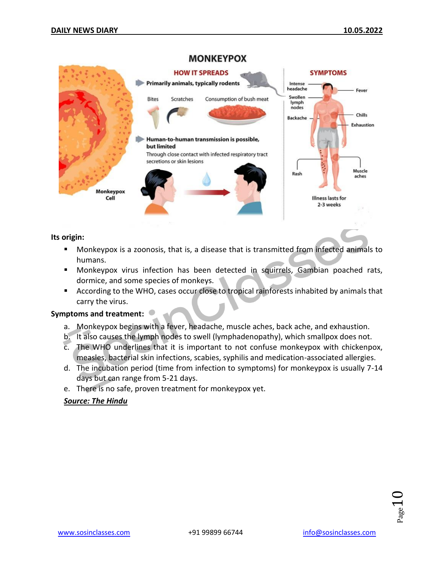

#### **Its origin:**

- Monkeypox is a zoonosis, that is, a disease that is transmitted from infected animals to humans.
- Monkeypox virus infection has been detected in squirrels, Gambian poached rats, dormice, and some species of monkeys.
- According to the WHO, cases occur close to tropical rainforests inhabited by animals that carry the virus.

#### **Symptoms and treatment:**

- a. Monkeypox begins with a fever, headache, muscle aches, back ache, and exhaustion.
- b. It also causes the lymph nodes to swell (lymphadenopathy), which smallpox does not.
- c. The WHO underlines that it is important to not confuse monkeypox with chickenpox, measles, bacterial skin infections, scabies, syphilis and medication-associated allergies.
- d. The incubation period (time from infection to symptoms) for monkeypox is usually 7-14 days but can range from 5-21 days.
- e. There is no safe, proven treatment for monkeypox yet.

#### *Source: The Hindu*

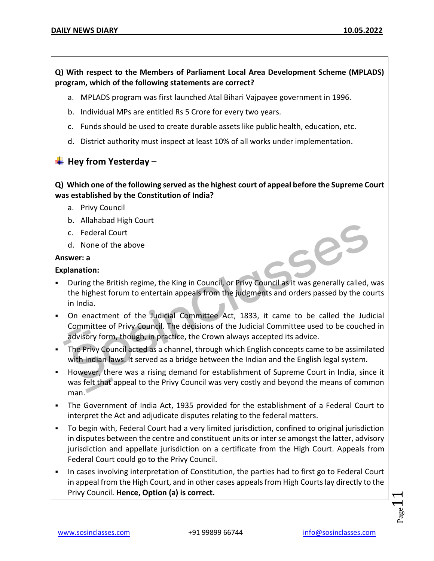**Q) With respect to the Members of Parliament Local Area Development Scheme (MPLADS) program, which of the following statements are correct?**

- a. MPLADS program was first launched Atal Bihari Vajpayee government in 1996.
- b. Individual MPs are entitled Rs 5 Crore for every two years.
- c. Funds should be used to create durable assets like public health, education, etc.
- d. District authority must inspect at least 10% of all works under implementation.

#### **Hey from Yesterday –**

**Q) Which one of the following served as the highest court of appeal before the Supreme Court was established by the Constitution of India?**

- a. Privy Council
- b. Allahabad High Court
- c. Federal Court
- d. None of the above

#### **Answer: a**

#### **Explanation:**

- During the British regime, the King in Council, or Privy Council as it was generally called, was the highest forum to entertain appeals from the judgments and orders passed by the courts in India.
- On enactment of the Judicial Committee Act, 1833, it came to be called the Judicial Committee of Privy Council. The decisions of the Judicial Committee used to be couched in advisory form, though, in practice, the Crown always accepted its advice.
- The Privy Council acted as a channel, through which English concepts came to be assimilated with Indian laws. It served as a bridge between the Indian and the English legal system.
- However, there was a rising demand for establishment of Supreme Court in India, since it was felt that appeal to the Privy Council was very costly and beyond the means of common man.
- The Government of India Act, 1935 provided for the establishment of a Federal Court to interpret the Act and adjudicate disputes relating to the federal matters.
- To begin with, Federal Court had a very limited jurisdiction, confined to original jurisdiction in disputes between the centre and constituent units or inter se amongst the latter, advisory jurisdiction and appellate jurisdiction on a certificate from the High Court. Appeals from Federal Court could go to the Privy Council.
- In cases involving interpretation of Constitution, the parties had to first go to Federal Court in appeal from the High Court, and in other cases appeals from High Courts lay directly to the Privy Council. **Hence, Option (a) is correct.**

 $_{\rm Page}11$ 

585